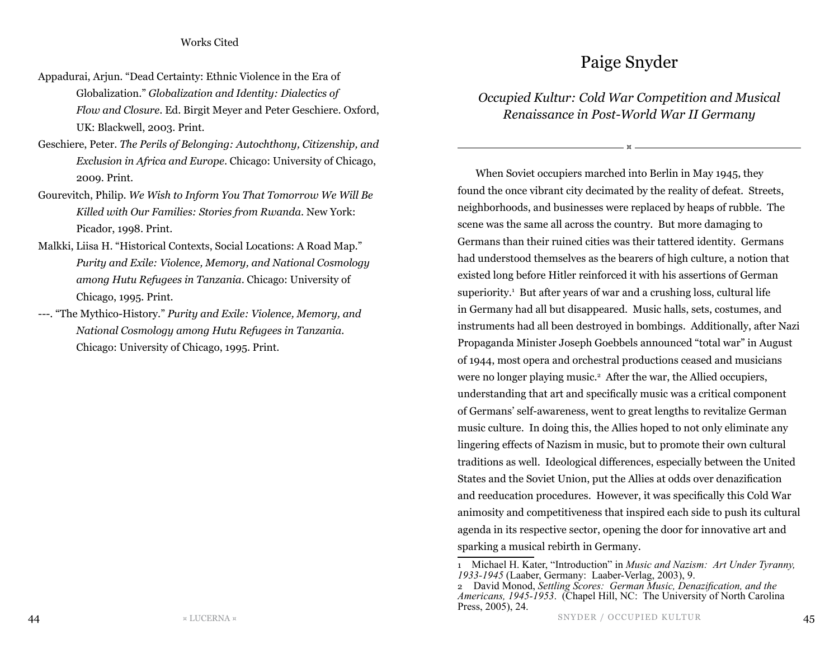## Paige Snyder

## *Occupied Kultur: Cold War Competition and Musical Renaissance in Post-World War II Germany*

¤

When Soviet occupiers marched into Berlin in May 1945, they found the once vibrant city decimated by the reality of defeat. Streets, neighborhoods, and businesses were replaced by heaps of rubble. The scene was the same all across the country. But more damaging to Germans than their ruined cities was their tattered identity. Germans had understood themselves as the bearers of high culture, a notion that existed long before Hitler reinforced it with his assertions of German superiority.1 But after years of war and a crushing loss, cultural life in Germany had all but disappeared. Music halls, sets, costumes, and instruments had all been destroyed in bombings. Additionally, after Nazi Propaganda Minister Joseph Goebbels announced "total war" in August of 1944, most opera and orchestral productions ceased and musicians were no longer playing music.<sup>2</sup> After the war, the Allied occupiers, understanding that art and specifically music was a critical component of Germans' self-awareness, went to great lengths to revitalize German music culture. In doing this, the Allies hoped to not only eliminate any lingering effects of Nazism in music, but to promote their own cultural traditions as well. Ideological differences, especially between the United States and the Soviet Union, put the Allies at odds over denazification and reeducation procedures. However, it was specifically this Cold War animosity and competitiveness that inspired each side to push its cultural agenda in its respective sector, opening the door for innovative art and sparking a musical rebirth in Germany.

<sup>1</sup> Michael H. Kater, "Introduction" in *Music and Nazism: Art Under Tyranny, 1933-1945* (Laaber, Germany: Laaber-Verlag, 2003), 9.

<sup>2</sup> David Monod, *Settling Scores: German Music, Denazification, and the Americans, 1945-1953*. (Chapel Hill, NC: The University of North Carolina Press, 2005), 24.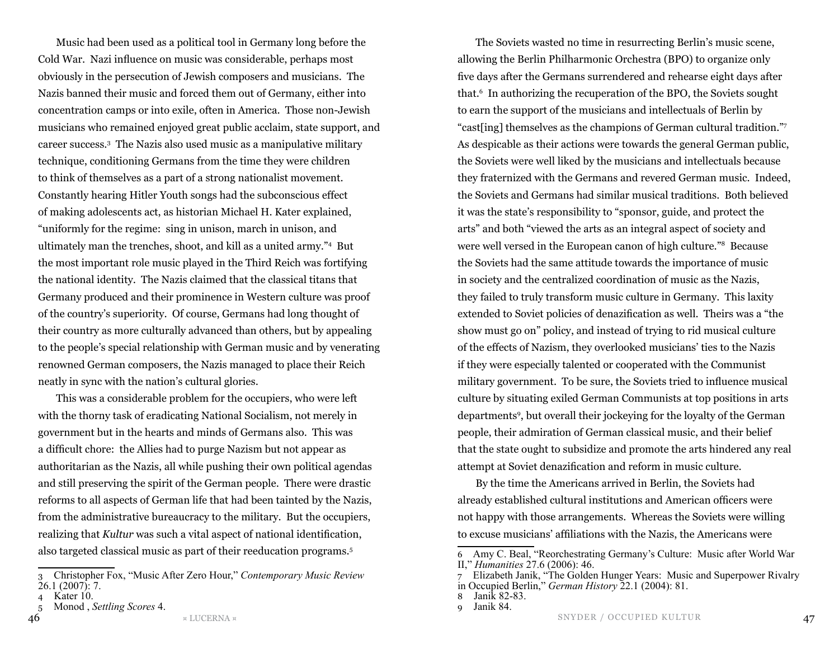Music had been used as a political tool in Germany long before the Cold War. Nazi influence on music was considerable, perhaps most obviously in the persecution of Jewish composers and musicians. The Nazis banned their music and forced them out of Germany, either into concentration camps or into exile, often in America. Those non-Jewish musicians who remained enjoyed great public acclaim, state support, and career success.3 The Nazis also used music as a manipulative military technique, conditioning Germans from the time they were children to think of themselves as a part of a strong nationalist movement. Constantly hearing Hitler Youth songs had the subconscious effect of making adolescents act, as historian Michael H. Kater explained, "uniformly for the regime: sing in unison, march in unison, and ultimately man the trenches, shoot, and kill as a united army."4 But the most important role music played in the Third Reich was fortifying the national identity. The Nazis claimed that the classical titans that Germany produced and their prominence in Western culture was proof of the country's superiority. Of course, Germans had long thought of their country as more culturally advanced than others, but by appealing to the people's special relationship with German music and by venerating renowned German composers, the Nazis managed to place their Reich neatly in sync with the nation's cultural glories.

This was a considerable problem for the occupiers, who were left with the thorny task of eradicating National Socialism, not merely in government but in the hearts and minds of Germans also. This was a difficult chore: the Allies had to purge Nazism but not appear as authoritarian as the Nazis, all while pushing their own political agendas and still preserving the spirit of the German people. There were drastic reforms to all aspects of German life that had been tainted by the Nazis, from the administrative bureaucracy to the military. But the occupiers, realizing that *Kultur* was such a vital aspect of national identification, also targeted classical music as part of their reeducation programs.5

3 Christopher Fox, "Music After Zero Hour," *Contemporary Music Review* 26.1 (2007): 7.

The Soviets wasted no time in resurrecting Berlin's music scene, allowing the Berlin Philharmonic Orchestra (BPO) to organize only five days after the Germans surrendered and rehearse eight days after that.6 In authorizing the recuperation of the BPO, the Soviets sought to earn the support of the musicians and intellectuals of Berlin by "cast[ing] themselves as the champions of German cultural tradition."7 As despicable as their actions were towards the general German public, the Soviets were well liked by the musicians and intellectuals because they fraternized with the Germans and revered German music. Indeed, the Soviets and Germans had similar musical traditions. Both believed it was the state's responsibility to "sponsor, guide, and protect the arts" and both "viewed the arts as an integral aspect of society and were well versed in the European canon of high culture."8 Because the Soviets had the same attitude towards the importance of music in society and the centralized coordination of music as the Nazis, they failed to truly transform music culture in Germany. This laxity extended to Soviet policies of denazification as well. Theirs was a "the show must go on" policy, and instead of trying to rid musical culture of the effects of Nazism, they overlooked musicians' ties to the Nazis if they were especially talented or cooperated with the Communist military government. To be sure, the Soviets tried to influence musical culture by situating exiled German Communists at top positions in arts departments9 , but overall their jockeying for the loyalty of the German people, their admiration of German classical music, and their belief that the state ought to subsidize and promote the arts hindered any real attempt at Soviet denazification and reform in music culture.

By the time the Americans arrived in Berlin, the Soviets had already established cultural institutions and American officers were not happy with those arrangements. Whereas the Soviets were willing to excuse musicians' affiliations with the Nazis, the Americans were

8 Janik 82-83.

<sup>4</sup> Kater 10.

<sup>5</sup> Monod , *Settling Scores* 4.

<sup>6</sup> Amy C. Beal, "Reorchestrating Germany's Culture: Music after World War II," *Humanities* 27.6 (2006): 46.

 $7^{6}$  Elizabeth Janik, "The Golden Hunger Years: Music and Superpower Rivalry in Occupied Berlin," *German History* 22.1 (2004): 81.

Janik 84.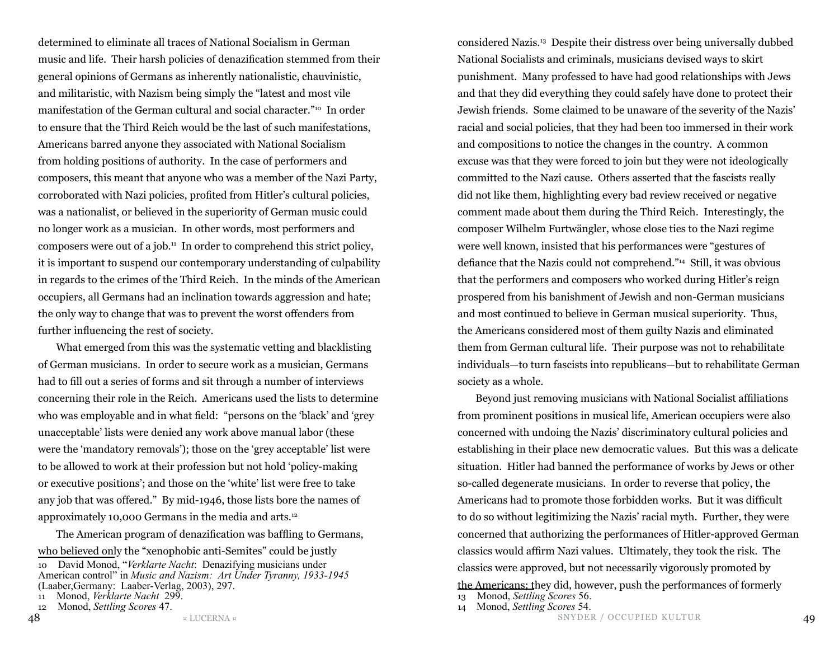determined to eliminate all traces of National Socialism in German music and life. Their harsh policies of denazification stemmed from their general opinions of Germans as inherently nationalistic, chauvinistic, and militaristic, with Nazism being simply the "latest and most vile manifestation of the German cultural and social character."10 In order to ensure that the Third Reich would be the last of such manifestations, Americans barred anyone they associated with National Socialism from holding positions of authority. In the case of performers and composers, this meant that anyone who was a member of the Nazi Party, corroborated with Nazi policies, profited from Hitler's cultural policies, was a nationalist, or believed in the superiority of German music could no longer work as a musician. In other words, most performers and composers were out of a job.11 In order to comprehend this strict policy, it is important to suspend our contemporary understanding of culpability in regards to the crimes of the Third Reich. In the minds of the American occupiers, all Germans had an inclination towards aggression and hate; the only way to change that was to prevent the worst offenders from further influencing the rest of society.

What emerged from this was the systematic vetting and blacklisting of German musicians. In order to secure work as a musician, Germans had to fill out a series of forms and sit through a number of interviews concerning their role in the Reich. Americans used the lists to determine who was employable and in what field: "persons on the 'black' and 'grey unacceptable' lists were denied any work above manual labor (these were the 'mandatory removals'); those on the 'grey acceptable' list were to be allowed to work at their profession but not hold 'policy-making or executive positions'; and those on the 'white' list were free to take any job that was offered." By mid-1946, those lists bore the names of approximately 10,000 Germans in the media and arts.12

The American program of denazification was baffling to Germans, who believed only the "xenophobic anti-Semites" could be justly 10 David Monod, "*Verklarte Nacht*: Denazifying musicians under American control" in *Music and Nazism: Art Under Tyranny, 1933-1945* (Laaber,Germany: Laaber-Verlag, 2003), 297.

```
12 Monod, Settling Scores 47.
```
considered Nazis.13 Despite their distress over being universally dubbed National Socialists and criminals, musicians devised ways to skirt punishment. Many professed to have had good relationships with Jews and that they did everything they could safely have done to protect their Jewish friends. Some claimed to be unaware of the severity of the Nazis' racial and social policies, that they had been too immersed in their work and compositions to notice the changes in the country. A common excuse was that they were forced to join but they were not ideologically committed to the Nazi cause. Others asserted that the fascists really did not like them, highlighting every bad review received or negative comment made about them during the Third Reich. Interestingly, the composer Wilhelm Furtwängler, whose close ties to the Nazi regime were well known, insisted that his performances were "gestures of defiance that the Nazis could not comprehend."14 Still, it was obvious that the performers and composers who worked during Hitler's reign prospered from his banishment of Jewish and non-German musicians and most continued to believe in German musical superiority. Thus, the Americans considered most of them guilty Nazis and eliminated them from German cultural life. Their purpose was not to rehabilitate individuals—to turn fascists into republicans—but to rehabilitate German society as a whole.

Beyond just removing musicians with National Socialist affiliations from prominent positions in musical life, American occupiers were also concerned with undoing the Nazis' discriminatory cultural policies and establishing in their place new democratic values. But this was a delicate situation. Hitler had banned the performance of works by Jews or other so-called degenerate musicians. In order to reverse that policy, the Americans had to promote those forbidden works. But it was difficult to do so without legitimizing the Nazis' racial myth. Further, they were concerned that authorizing the performances of Hitler-approved German classics would affirm Nazi values. Ultimately, they took the risk. The classics were approved, but not necessarily vigorously promoted by the Americans; they did, however, push the performances of formerly

- 14 Monod, *Settling Scores* 54.
- 48 ¤ LUCERNA ¤ 49 SNYDER / OCCUPIED KULTUR

<sup>11</sup> Monod, *Verklarte Nacht* 299.

<sup>13</sup> Monod, *Settling Scores* 56.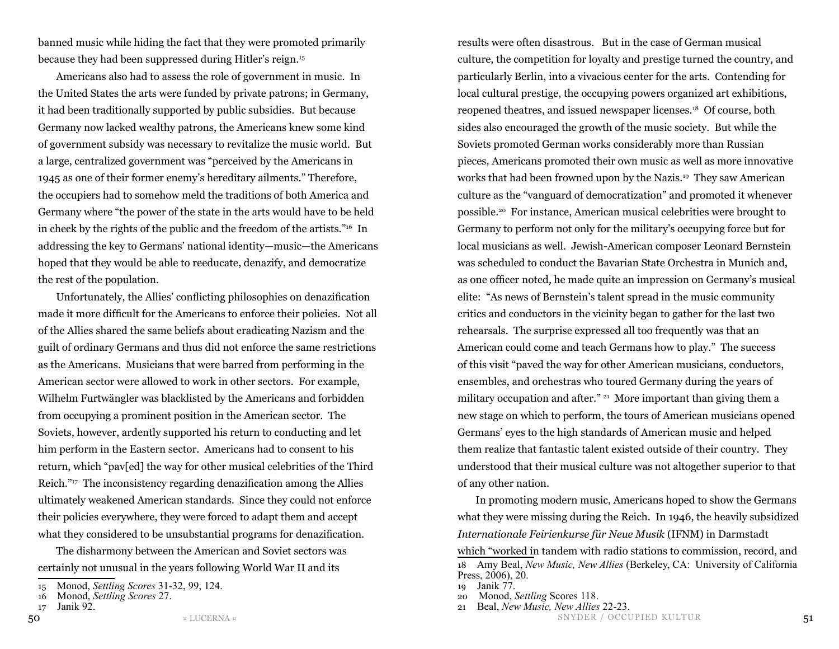banned music while hiding the fact that they were promoted primarily because they had been suppressed during Hitler's reign.15

Americans also had to assess the role of government in music. In the United States the arts were funded by private patrons; in Germany, it had been traditionally supported by public subsidies. But because Germany now lacked wealthy patrons, the Americans knew some kind of government subsidy was necessary to revitalize the music world. But a large, centralized government was "perceived by the Americans in 1945 as one of their former enemy's hereditary ailments." Therefore, the occupiers had to somehow meld the traditions of both America and Germany where "the power of the state in the arts would have to be held in check by the rights of the public and the freedom of the artists."16 In addressing the key to Germans' national identity—music—the Americans hoped that they would be able to reeducate, denazify, and democratize the rest of the population.

Unfortunately, the Allies' conflicting philosophies on denazification made it more difficult for the Americans to enforce their policies. Not all of the Allies shared the same beliefs about eradicating Nazism and the guilt of ordinary Germans and thus did not enforce the same restrictions as the Americans. Musicians that were barred from performing in the American sector were allowed to work in other sectors. For example, Wilhelm Furtwängler was blacklisted by the Americans and forbidden from occupying a prominent position in the American sector. The Soviets, however, ardently supported his return to conducting and let him perform in the Eastern sector. Americans had to consent to his return, which "pav[ed] the way for other musical celebrities of the Third Reich."17 The inconsistency regarding denazification among the Allies ultimately weakened American standards. Since they could not enforce their policies everywhere, they were forced to adapt them and accept what they considered to be unsubstantial programs for denazification.

The disharmony between the American and Soviet sectors was certainly not unusual in the years following World War II and its

results were often disastrous. But in the case of German musical culture, the competition for loyalty and prestige turned the country, and particularly Berlin, into a vivacious center for the arts. Contending for local cultural prestige, the occupying powers organized art exhibitions, reopened theatres, and issued newspaper licenses.18 Of course, both sides also encouraged the growth of the music society. But while the Soviets promoted German works considerably more than Russian pieces, Americans promoted their own music as well as more innovative works that had been frowned upon by the Nazis.19 They saw American culture as the "vanguard of democratization" and promoted it whenever possible.20 For instance, American musical celebrities were brought to Germany to perform not only for the military's occupying force but for local musicians as well. Jewish-American composer Leonard Bernstein was scheduled to conduct the Bavarian State Orchestra in Munich and, as one officer noted, he made quite an impression on Germany's musical elite: "As news of Bernstein's talent spread in the music community critics and conductors in the vicinity began to gather for the last two rehearsals. The surprise expressed all too frequently was that an American could come and teach Germans how to play." The success of this visit "paved the way for other American musicians, conductors, ensembles, and orchestras who toured Germany during the years of military occupation and after." <sup>21</sup> More important than giving them a new stage on which to perform, the tours of American musicians opened Germans' eyes to the high standards of American music and helped them realize that fantastic talent existed outside of their country. They understood that their musical culture was not altogether superior to that of any other nation.

In promoting modern music, Americans hoped to show the Germans what they were missing during the Reich. In 1946, the heavily subsidized *Internationale Feirienkurse für Neue Musik* (IFNM) in Darmstadt which "worked in tandem with radio stations to commission, record, and 18 Amy Beal, *New Music, New Allies* (Berkeley, CA: University of California Press, 2006), 20.

20 Monod, *Settling* Scores 118.

 $_{\rm 50}$  50  $_{\rm x\ LUCERNA\,\rm x}$  51  $_{\rm 51}$ 21 Beal, *New Music, New Allies* 22-23.

<sup>15</sup> Monod, *Settling Scores* 31-32, 99, 124.

<sup>16</sup> Monod, *Settling Scores* 27.

<sup>17</sup> Janik 92.

<sup>19</sup> Janik 77.